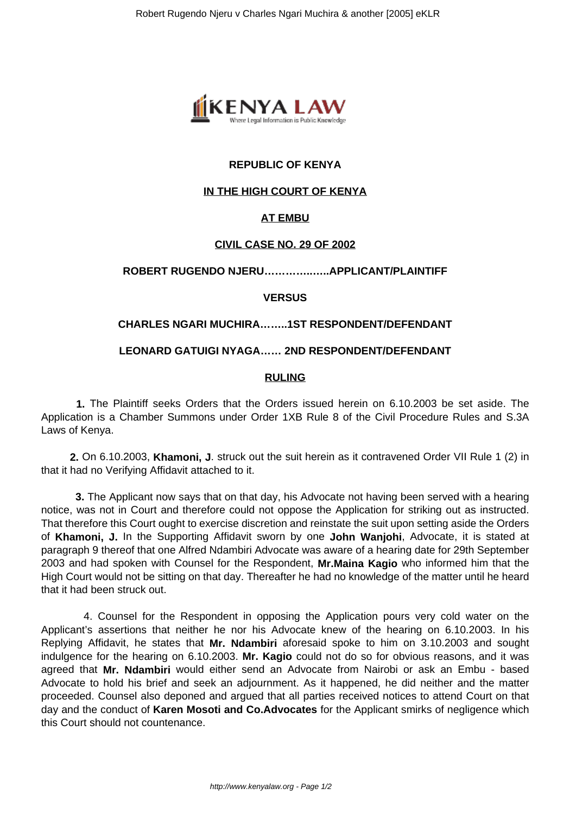

# **REPUBLIC OF KENYA**

# **IN THE HIGH COURT OF KENYA**

# **AT EMBU**

## **CIVIL CASE NO. 29 OF 2002**

## **ROBERT RUGENDO NJERU…………..…..APPLICANT/PLAINTIFF**

## **VERSUS**

# **CHARLES NGARI MUCHIRA……..1ST RESPONDENT/DEFENDANT**

## **LEONARD GATUIGI NYAGA…… 2ND RESPONDENT/DEFENDANT**

## **RULING**

 **1.** The Plaintiff seeks Orders that the Orders issued herein on 6.10.2003 be set aside. The Application is a Chamber Summons under Order 1XB Rule 8 of the Civil Procedure Rules and S.3A Laws of Kenya.

 **2.** On 6.10.2003, **Khamoni, J**. struck out the suit herein as it contravened Order VII Rule 1 (2) in that it had no Verifying Affidavit attached to it.

 **3.** The Applicant now says that on that day, his Advocate not having been served with a hearing notice, was not in Court and therefore could not oppose the Application for striking out as instructed. That therefore this Court ought to exercise discretion and reinstate the suit upon setting aside the Orders of **Khamoni, J.** In the Supporting Affidavit sworn by one **John Wanjohi**, Advocate, it is stated at paragraph 9 thereof that one Alfred Ndambiri Advocate was aware of a hearing date for 29th September 2003 and had spoken with Counsel for the Respondent, **Mr.Maina Kagio** who informed him that the High Court would not be sitting on that day. Thereafter he had no knowledge of the matter until he heard that it had been struck out.

 4. Counsel for the Respondent in opposing the Application pours very cold water on the Applicant's assertions that neither he nor his Advocate knew of the hearing on 6.10.2003. In his Replying Affidavit, he states that **Mr. Ndambiri** aforesaid spoke to him on 3.10.2003 and sought indulgence for the hearing on 6.10.2003. **Mr. Kagio** could not do so for obvious reasons, and it was agreed that **Mr. Ndambiri** would either send an Advocate from Nairobi or ask an Embu - based Advocate to hold his brief and seek an adjournment. As it happened, he did neither and the matter proceeded. Counsel also deponed and argued that all parties received notices to attend Court on that day and the conduct of **Karen Mosoti and Co.Advocates** for the Applicant smirks of negligence which this Court should not countenance.